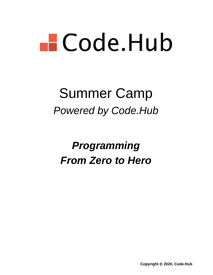# $\blacksquare$  Code Hub

# Summer Camp *Powered by Code.Hub*

# *Programming From Zero to Hero*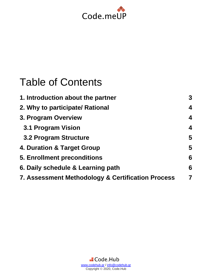

## Table of Contents

| 1. Introduction about the partner                 | 3                       |
|---------------------------------------------------|-------------------------|
| 2. Why to participate/ Rational                   | $\overline{\mathbf{4}}$ |
| 3. Program Overview                               | 4                       |
| 3.1 Program Vision                                | $\boldsymbol{4}$        |
| 3.2 Program Structure                             | 5                       |
| 4. Duration & Target Group                        | 5                       |
| <b>5. Enrollment preconditions</b>                | 6                       |
| 6. Daily schedule & Learning path                 | 6                       |
| 7. Assessment Methodology & Certification Process | $\overline{7}$          |
|                                                   |                         |

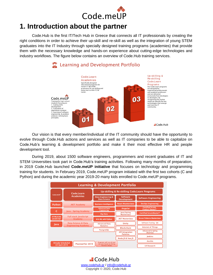

## <span id="page-2-0"></span>**1. Introduction about the partner**

Code.Hub is the first IT/Tech Hub in Greece that connects all IT professionals by creating the right conditions in order to achieve their up-skill and re-skill as well as the integration of young STEM graduates into the IT Industry through specially designed training programs (academies) that provide them with the necessary knowledge and hands-on experience about cutting-edge technologies and industry workflows. The figure below contains an overview of Code.Hub training services.



Our vision is that every member/individual of the IT community should have the opportunity to evolve through Code.Hub actions and services as well as IT companies to be able to capitalize on Code.Hub's learning & development portfolio and make it their most effective HR and people development tool.

During 2019, about 1500 software engineers, programmers and recent graduates of IT and STEM Universities took part in Code.Hub's training activities. Following many months of preparation, in 2019 Code.Hub launched **Code.meUP initiative** that focuses on technology and programming training for students. In February 2019, Code.meUP program initiated with the first two cohorts (C and Python) and during the academic year 2019-20 many kids enrolled to Code.meUP programs.

| <b>Learning &amp; Development Portfolio</b> |                                                |                                                    |                                           |                                          |  |  |
|---------------------------------------------|------------------------------------------------|----------------------------------------------------|-------------------------------------------|------------------------------------------|--|--|
|                                             | Code.Learn                                     | Up-skilling & Re-skilling Code Learn Programs      |                                           |                                          |  |  |
| Code.meUP                                   | <b>Academies</b>                               | Data Engineering &<br><b>Data Science</b>          | Software<br><b>Development</b>            | <b>Software Engineering</b>              |  |  |
| Python                                      | .NET Academy                                   | <b>Business Intelligence</b>                       | <b>React Masterclass</b>                  | <b>DevOps Engineering</b>                |  |  |
| C                                           | Java - Spring Academy                          | <b>Advanced Data</b><br><b>Engineering</b>         | Angular                                   | <b>Certified Scrum</b><br>Product Owner® |  |  |
|                                             |                                                | <b>Big Data</b>                                    | <b>Javal Spring</b><br><b>Masterclass</b> | Certified ScrumMaster®                   |  |  |
| <b>HTMLICSSI</b><br>JavaScript              | <b>Full stack JavaScript</b><br><b>Academy</b> | Al & ML with Python                                | .NET Masterclass                          | <b>Scrum Patterns Masterclass</b>        |  |  |
| lava                                        | Data Science & Data                            | <b>Advanced Data</b>                               | Unity                                     | <b>Software Testing - QA</b>             |  |  |
|                                             | <b>Engineering Academy</b>                     | <b>Analytics</b><br><b>Blockchain</b>              |                                           | <b>Internet of Things</b>                |  |  |
|                                             |                                                | <b>PostgreSQL</b>                                  | <b>API Integration</b><br><b>Patterns</b> | <b>Advanced Scripting</b><br>(Red Hat)   |  |  |
|                                             |                                                |                                                    | Node JS & Vue JS                          | lenkins                                  |  |  |
| <b>Already Scheduled</b>                    | Ansible                                        |                                                    |                                           |                                          |  |  |
| till April 2019                             | <b>Planned for 2019</b>                        | the year based on Hiring<br><b>Partners Needs.</b> |                                           | <b>UX Research</b>                       |  |  |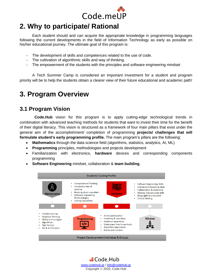![](_page_3_Picture_0.jpeg)

## <span id="page-3-0"></span>**2. Why to participate/ Rational**

Each student should and can acquire the appropriate knowledge in programming languages following the current developments in the field of Information Technology as early as possible on his/her educational journey. The ultimate goal of this program is:

- The development of skills and competences related to the use of code.
- − The cultivation of algorithmic skills and way of thinking.
- − The empowerment of the students with the principles and software engineering mindset

A Tech Summer Camp is considered an important investment for a student and program priority will be to help the students obtain a clearer view of their future educational and academic path!

## <span id="page-3-1"></span>**3. Program Overview**

### <span id="page-3-2"></span>**3.1 Program Vision**

**Code.Hub** vision for this program is to apply cutting-edge technological trends in combination with advanced teaching methods for students that want to invest their time for the benefit of their digital literacy. This vision is structured as a framework of four main pillars that exist under the general aim of the accomplishment/ completion of programming **projects/ challenges that will formulate student's early programming profile.** The main program's pillars are the following:

- **Mathematics** through the data science field (algorithms, statistics, analytics, AI, ML)
- **Programming** principles, methodologies and projects development
- Familiarization with electronics, **hardware** devices and corresponding components programming

![](_page_3_Figure_13.jpeg)

• **Software Engineering** mindset, collaboration & **team building**.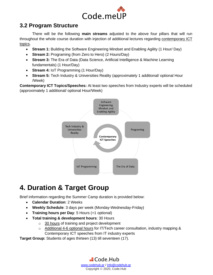![](_page_4_Picture_0.jpeg)

## <span id="page-4-0"></span>**3.2 Program Structure**

There will be the following **main streams** adjusted to the above four pillars that will run throughout the whole course duration with injection of additional lectures regarding contemporary ICT topics.

- **Stream 1:** Building the Software Engineering Mindset and Enabling Agility (1 Hour/ Day)
- **Stream 2:** Programing (from Zero to Hero) (2 Hours/Day)
- **Stream 3:** The Era of Data (Data Science, Artificial Intelligence & Machine Learning fundamentals) (1 Hour/Day)
- **Stream 4:** IoT Programming (1 Hour/Day)
- **Stream 5:** Tech Industry & Universities Reality (approximately 1 additional/ optional Hour /Week)

**Contemporary ICT Topics/Speeches:** At least two speeches from Industry experts will be scheduled (approximately 1 additional/ optional Hour/Week)

![](_page_4_Figure_9.jpeg)

## <span id="page-4-1"></span>**4. Duration & Target Group**

Brief information regarding the Summer Camp duration is provided below:

- **Calendar Duration**: 2 Weeks
- **Weekly Schedule**: 3 days per week (Monday-Wednesday-Friday)
- **Training hours per Day**: 5 Hours (+1 optional)
- **Total training & development hours**: 30 Hours
	- o 30 hours of training and project development
	- $\circ$  Additional 4-6 optional hours for IT/Tech career consultation, industry mapping & Contemporary ICT speeches from IT industry experts

**Target Group:** Students of ages thirteen (13) till seventeen (17).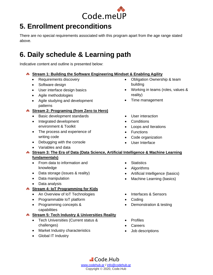![](_page_5_Picture_0.jpeg)

## <span id="page-5-0"></span>**5. Enrollment preconditions**

There are no special requirements associated with this program apart from the age range stated above.

## <span id="page-5-1"></span>**6. Daily schedule & Learning path**

Indicative content and outline is presented below:

#### **Stream 1: Building the Software Engineering Mindset & Enabling Agility**

- Requirements discovery
- Software design
- User interface design basics
- Agile methodologies
- Agile studying and development patterns

#### **Stream 2: Programing (from Zero to Hero)**

- Basic development standards
- Integrated development environment & Toolkit
- The process and experience of writing code
- Debugging with the console
- Variables and data ◆ Stream 3: The Era of Data (Data Science, Artificial Intelligence & Machine Learning

#### **fundamentals)**

- From data to information and knowledge
- Data storage (issues & reality)
- Data manipulation
- Data analysis

#### **Stream 4: IoT Programming for Kids**

- An Overview of IoT Technologies
- Programmable IoT platform
- Programming concepts & capabilities

#### **Stream 5: Tech Industry & Universities Reality**

- Tech Universities (Current status & challenges)
- Market Industry characteristics
- Global IT Industry
- Statistics
- Algorithms
- Artificial Intelligence (basics)
- Machine Learning (basics)
- Interfaces & Sensors
- Coding
- Demonstration & testing
- **Profiles**
- **Careers**
- Job descriptions

- Obligation Ownership & team building
- Working in teams (roles, values & reality)
- Time management
- User interaction
- **Conditions**
- Loops and Iterations
- Functions
- Code organization
- User Interface